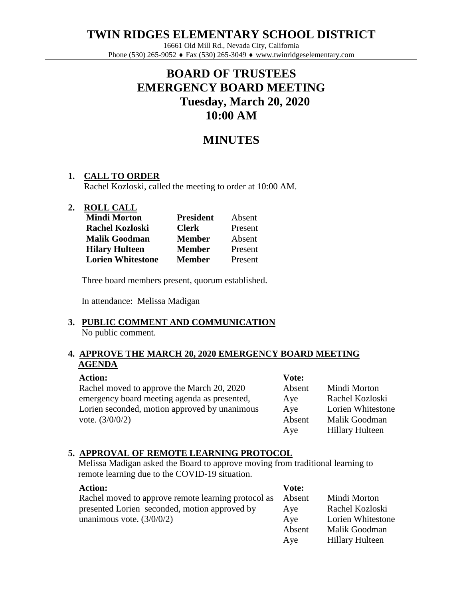**TWIN RIDGES ELEMENTARY SCHOOL DISTRICT**

16661 Old Mill Rd., Nevada City, California Phone (530) 265-9052  $\triangleleft$  Fax (530) 265-3049  $\triangleleft$  www.twinridgeselementary.com

# **BOARD OF TRUSTEES EMERGENCY BOARD MEETING Tuesday, March 20, 2020 10:00 AM**

# **MINUTES**

# **1. CALL TO ORDER**

Rachel Kozloski, called the meeting to order at 10:00 AM.

### **2. ROLL CALL**

| <b>Mindi Morton</b>      | <b>President</b> | Absent  |
|--------------------------|------------------|---------|
| <b>Rachel Kozloski</b>   | <b>Clerk</b>     | Present |
| <b>Malik Goodman</b>     | <b>Member</b>    | Absent  |
| <b>Hilary Hulteen</b>    | <b>Member</b>    | Present |
| <b>Lorien Whitestone</b> | <b>Member</b>    | Present |

Three board members present, quorum established.

In attendance: Melissa Madigan

### **3. PUBLIC COMMENT AND COMMUNICATION** No public comment.

## **4. APPROVE THE MARCH 20, 2020 EMERGENCY BOARD MEETING AGENDA**

#### **Action:**

Rachel moved to approve the March 20, 2020 emergency board meeting agenda as presented, Lorien seconded, motion approved by unanimous vote. (3/0/0/2)

| Mindi Morton           |
|------------------------|
| Rachel Kozloski        |
| Lorien Whitestone      |
| Malik Goodman          |
| <b>Hillary Hulteen</b> |
|                        |

# **5. APPROVAL OF REMOTE LEARNING PROTOCOL**

Melissa Madigan asked the Board to approve moving from traditional learning to remote learning due to the COVID-19 situation.

| <b>Action:</b>                                      | Vote:  |                        |
|-----------------------------------------------------|--------|------------------------|
| Rachel moved to approve remote learning protocol as | Absent | Mindi Morton           |
| presented Lorien seconded, motion approved by       | Aye    | Rachel Kozloski        |
| unanimous vote. $(3/0/0/2)$                         | Aye    | Lorien Whitestone      |
|                                                     | Absent | Malik Goodman          |
|                                                     | Aye    | <b>Hillary Hulteen</b> |